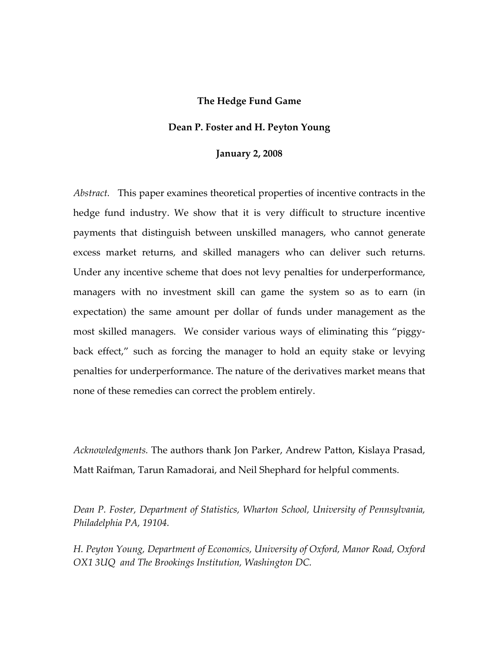## **The Hedge Fund Game**

## **Dean P. Foster and H. Peyton Young**

### **January 2, 2008**

*Abstract.* This paper examines theoretical properties of incentive contracts in the hedge fund industry. We show that it is very difficult to structure incentive payments that distinguish between unskilled managers, who cannot generate excess market returns, and skilled managers who can deliver such returns. Under any incentive scheme that does not levy penalties for underperformance, managers with no investment skill can game the system so as to earn (in expectation) the same amount per dollar of funds under management as the most skilled managers. We consider various ways of eliminating this "piggyback effect," such as forcing the manager to hold an equity stake or levying penalties for underperformance. The nature of the derivatives market means that none of these remedies can correct the problem entirely.

*Acknowledgments.* The authors thank Jon Parker, Andrew Patton, Kislaya Prasad, Matt Raifman, Tarun Ramadorai, and Neil Shephard for helpful comments.

*Dean P. Foster, Department of Statistics, Wharton School, University of Pennsylvania, Philadelphia PA, 19104.* 

*H. Peyton Young, Department of Economics, University of Oxford, Manor Road, Oxford OX1 3UQ and The Brookings Institution, Washington DC.*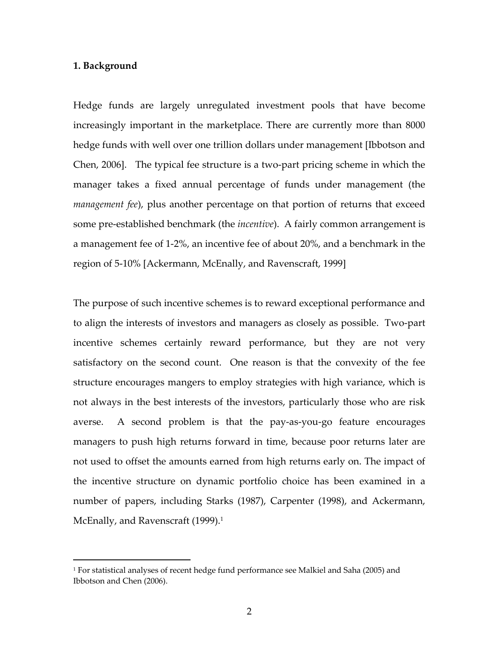## **1. Background**

1

Hedge funds are largely unregulated investment pools that have become increasingly important in the marketplace. There are currently more than 8000 hedge funds with well over one trillion dollars under management [Ibbotson and Chen, 2006]. The typical fee structure is a two‐part pricing scheme in which the manager takes a fixed annual percentage of funds under management (the *management fee*), plus another percentage on that portion of returns that exceed some pre-established benchmark (the *incentive*). A fairly common arrangement is a management fee of 1‐2%, an incentive fee of about 20%, and a benchmark in the region of 5‐10% [Ackermann, McEnally, and Ravenscraft, 1999]

The purpose of such incentive schemes is to reward exceptional performance and to align the interests of investors and managers as closely as possible. Two‐part incentive schemes certainly reward performance, but they are not very satisfactory on the second count. One reason is that the convexity of the fee structure encourages mangers to employ strategies with high variance, which is not always in the best interests of the investors, particularly those who are risk averse. A second problem is that the pay-as-you-go feature encourages managers to push high returns forward in time, because poor returns later are not used to offset the amounts earned from high returns early on. The impact of the incentive structure on dynamic portfolio choice has been examined in a number of papers, including Starks (1987), Carpenter (1998), and Ackermann, McEnally, and Ravenscraft (1999).<sup>1</sup>

<sup>1</sup> For statistical analyses of recent hedge fund performance see Malkiel and Saha (2005) and Ibbotson and Chen (2006).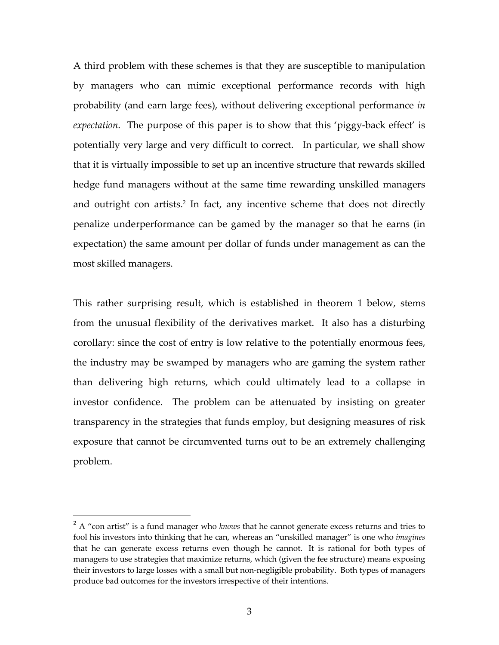A third problem with these schemes is that they are susceptible to manipulation by managers who can mimic exceptional performance records with high probability (and earn large fees), without delivering exceptional performance *in expectation*. The purpose of this paper is to show that this 'piggy-back effect' is potentially very large and very difficult to correct. In particular, we shall show that it is virtually impossible to set up an incentive structure that rewards skilled hedge fund managers without at the same time rewarding unskilled managers and outright con artists.<sup>2</sup> In fact, any incentive scheme that does not directly penalize underperformance can be gamed by the manager so that he earns (in expectation) the same amount per dollar of funds under management as can the most skilled managers.

This rather surprising result, which is established in theorem 1 below, stems from the unusual flexibility of the derivatives market. It also has a disturbing corollary: since the cost of entry is low relative to the potentially enormous fees, the industry may be swamped by managers who are gaming the system rather than delivering high returns, which could ultimately lead to a collapse in investor confidence. The problem can be attenuated by insisting on greater transparency in the strategies that funds employ, but designing measures of risk exposure that cannot be circumvented turns out to be an extremely challenging problem.

 $\overline{a}$ 

<sup>2</sup> A "con artist" is a fund manager who *knows* that he cannot generate excess returns and tries to fool his investors into thinking that he can, whereas an "unskilled manager" is one who *imagines* that he can generate excess returns even though he cannot. It is rational for both types of managers to use strategies that maximize returns, which (given the fee structure) means exposing their investors to large losses with a small but non-negligible probability. Both types of managers produce bad outcomes for the investors irrespective of their intentions.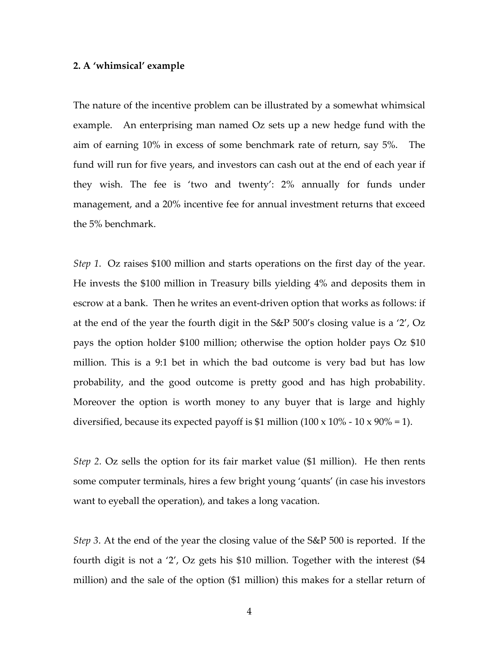### **2. A 'whimsical' example**

The nature of the incentive problem can be illustrated by a somewhat whimsical example. An enterprising man named Oz sets up a new hedge fund with the aim of earning 10% in excess of some benchmark rate of return, say 5%. The fund will run for five years, and investors can cash out at the end of each year if they wish. The fee is 'two and twenty': 2% annually for funds under management, and a 20% incentive fee for annual investment returns that exceed the 5% benchmark.

*Step 1*. Oz raises \$100 million and starts operations on the first day of the year. He invests the \$100 million in Treasury bills yielding 4% and deposits them in escrow at a bank. Then he writes an event-driven option that works as follows: if at the end of the year the fourth digit in the S&P 500's closing value is a '2', Oz pays the option holder \$100 million; otherwise the option holder pays Oz \$10 million. This is a 9:1 bet in which the bad outcome is very bad but has low probability, and the good outcome is pretty good and has high probability. Moreover the option is worth money to any buyer that is large and highly diversified, because its expected payoff is \$1 million (100 x 10% - 10 x 90% = 1).

*Step 2.* Oz sells the option for its fair market value (\$1 million). He then rents some computer terminals, hires a few bright young 'quants' (in case his investors want to eyeball the operation), and takes a long vacation.

*Step 3*. At the end of the year the closing value of the S&P 500 is reported. If the fourth digit is not a '2', Oz gets his \$10 million. Together with the interest (\$4 million) and the sale of the option (\$1 million) this makes for a stellar return of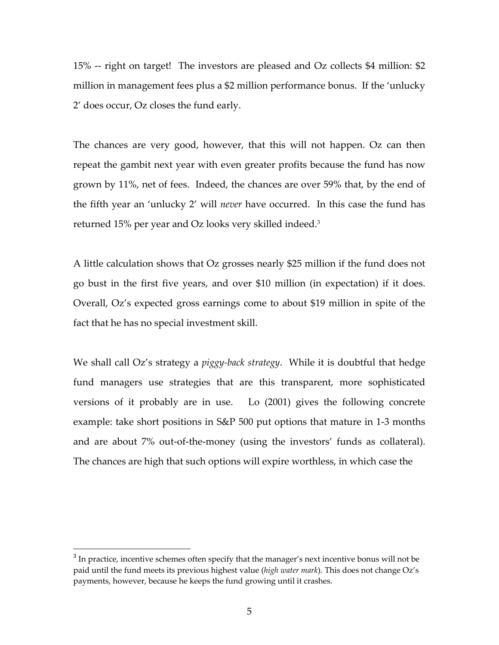15% -- right on target! The investors are pleased and Oz collects \$4 million: \$2 million in management fees plus a \$2 million performance bonus. If the 'unlucky 2' does occur, Oz closes the fund early.

The chances are very good, however, that this will not happen. Oz can then repeat the gambit next year with even greater profits because the fund has now grown by 11%, net of fees. Indeed, the chances are over 59% that, by the end of the fifth year an 'unlucky 2' will *never* have occurred. In this case the fund has returned 15% per year and Oz looks very skilled indeed.3

A little calculation shows that Oz grosses nearly \$25 million if the fund does not go bust in the first five years, and over \$10 million (in expectation) if it does. Overall, Oz's expected gross earnings come to about \$19 million in spite of the fact that he has no special investment skill.

We shall call Oz's strategy a *piggy‐back strategy*. While it is doubtful that hedge fund managers use strategies that are this transparent, more sophisticated versions of it probably are in use. Lo (2001) gives the following concrete example: take short positions in S&P 500 put options that mature in 1‐3 months and are about 7% out‐of‐the‐money (using the investors' funds as collateral). The chances are high that such options will expire worthless, in which case the

1

<sup>&</sup>lt;sup>3</sup> In practice, incentive schemes often specify that the manager's next incentive bonus will not be paid until the fund meets its previous highest value (*high water mark*). This does not change Oz's payments, however, because he keeps the fund growing until it crashes.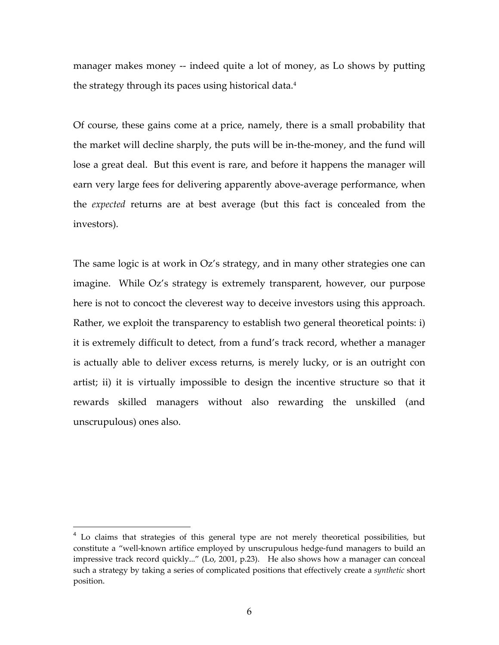manager makes money -- indeed quite a lot of money, as Lo shows by putting the strategy through its paces using historical data.<sup>4</sup>

Of course, these gains come at a price, namely, there is a small probability that the market will decline sharply, the puts will be in‐the‐money, and the fund will lose a great deal. But this event is rare, and before it happens the manager will earn very large fees for delivering apparently above-average performance, when the *expected* returns are at best average (but this fact is concealed from the investors).

The same logic is at work in Oz's strategy, and in many other strategies one can imagine. While Oz's strategy is extremely transparent, however, our purpose here is not to concoct the cleverest way to deceive investors using this approach. Rather, we exploit the transparency to establish two general theoretical points: i) it is extremely difficult to detect, from a fund's track record, whether a manager is actually able to deliver excess returns, is merely lucky, or is an outright con artist; ii) it is virtually impossible to design the incentive structure so that it rewards skilled managers without also rewarding the unskilled (and unscrupulous) ones also.

<u>.</u>

 $4$  Lo claims that strategies of this general type are not merely theoretical possibilities, but constitute a "well-known artifice employed by unscrupulous hedge-fund managers to build an impressive track record quickly..." (Lo, 2001, p.23). He also shows how a manager can conceal such a strategy by taking a series of complicated positions that effectively create a *synthetic* short position.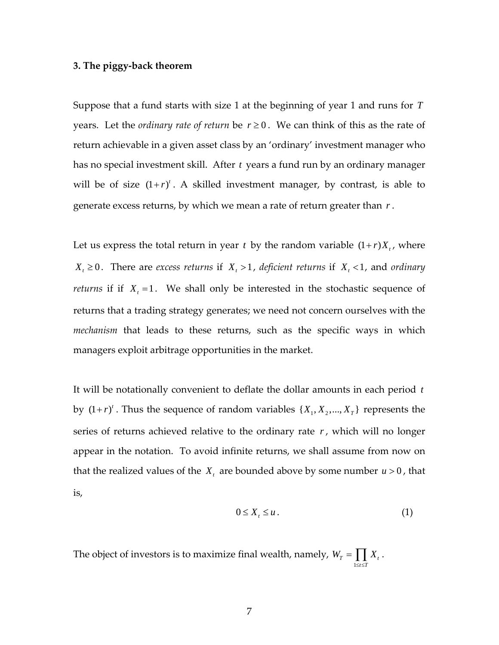## **3. The piggy‐back theorem**

Suppose that a fund starts with size 1 at the beginning of year 1 and runs for *T* years. Let the *ordinary rate* of *return* be  $r \geq 0$ . We can think of this as the rate of return achievable in a given asset class by an 'ordinary' investment manager who has no special investment skill. After *t* years a fund run by an ordinary manager will be of size  $(1 + r)^t$ . A skilled investment manager, by contrast, is able to generate excess returns, by which we mean a rate of return greater than *r* .

Let us express the total return in year *t* by the random variable  $(1+r)X_t$ , where  $X_t \geq 0$ . There are *excess returns* if  $X_t > 1$ , *deficient returns* if  $X_t < 1$ , and *ordinary returns* if if  $X_t = 1$ . We shall only be interested in the stochastic sequence of returns that a trading strategy generates; we need not concern ourselves with the *mechanism* that leads to these returns, such as the specific ways in which managers exploit arbitrage opportunities in the market.

It will be notationally convenient to deflate the dollar amounts in each period *t* by  $(1 + r)^t$ . Thus the sequence of random variables  $\{X_1, X_2, ..., X_T\}$  represents the series of returns achieved relative to the ordinary rate *r* , which will no longer appear in the notation. To avoid infinite returns, we shall assume from now on that the realized values of the  $X_t$  are bounded above by some number  $u > 0$ , that is,

$$
0 \le X_t \le u \,. \tag{1}
$$

The object of investors is to maximize final wealth, namely,  $W_T = \prod X_t$ . 1  $t \leq T$  $\leq t \leq$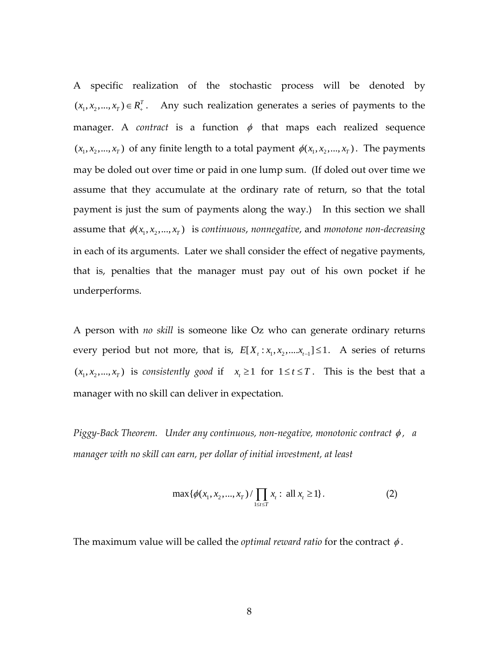A specific realization of the stochastic process will be denoted by  $(x_1, x_2, ..., x_T) \in R^T$ . Any such realization generates a series of payments to the manager. A *contract* is a function  $\phi$  that maps each realized sequence  $(x_1, x_2, \ldots, x_T)$  of any finite length to a total payment  $\phi(x_1, x_2, \ldots, x_T)$ . The payments may be doled out over time or paid in one lump sum. (If doled out over time we assume that they accumulate at the ordinary rate of return, so that the total payment is just the sum of payments along the way.) In this section we shall assume that  $\phi(x_1, x_2, \ldots, x_T)$  is *continuous*, *nonnegative*, and *monotone non-decreasing* in each of its arguments. Later we shall consider the effect of negative payments, that is, penalties that the manager must pay out of his own pocket if he underperforms.

A person with *no skill* is someone like Oz who can generate ordinary returns every period but not more, that is,  $E[X_t : x_1, x_2, \ldots, x_{t-1}] \le 1$ . A series of returns  $(x_1, x_2, \ldots, x_T)$  is *consistently good* if  $x_i \ge 1$  for  $1 \le t \le T$ . This is the best that a manager with no skill can deliver in expectation.

*Piggy‐Back Theorem. Under any continuous, non‐negative, monotonic contract* φ *, a manager with no skill can earn, per dollar of initial investment, at least* 

$$
\max\{\phi(x_1, x_2, ..., x_T) / \prod_{1 \le t \le T} x_t : \text{ all } x_t \ge 1\}.
$$
 (2)

The maximum value will be called the *optimal reward ratio* for the contract  $\phi$ .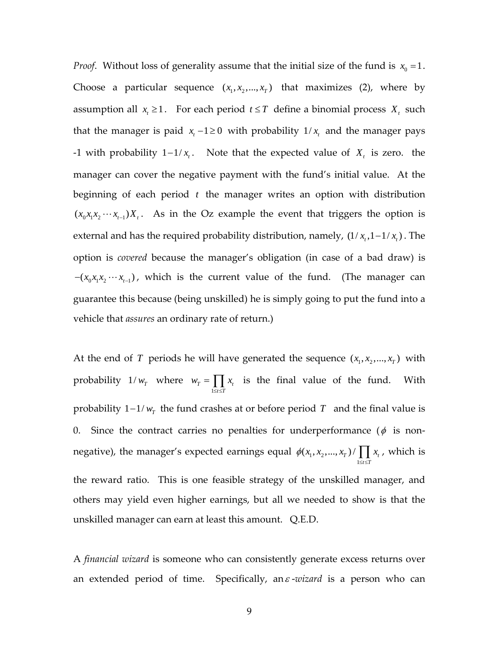*Proof.* Without loss of generality assume that the initial size of the fund is  $x_0 = 1$ . Choose a particular sequence  $(x_1, x_2, ..., x_T)$  that maximizes (2), where by assumption all  $x_t \geq 1$ . For each period  $t \leq T$  define a binomial process  $X_t$  such that the manager is paid  $x_t$  −1≥0 with probability 1/ $x_t$  and the manager pays -1 with probability  $1 - 1/x_t$ . Note that the expected value of  $X_t$  is zero. the manager can cover the negative payment with the fund's initial value. At the beginning of each period *t* the manager writes an option with distribution  $(x_0x_1x_2 \cdots x_{t-1})X_t$ . As in the Oz example the event that triggers the option is external and has the required probability distribution, namely,  $(1/x_t, 1-1/x_t)$ . The option is *covered* because the manager's obligation (in case of a bad draw) is  $-(x_0x_1x_2 \cdots x_{t-1})$ , which is the current value of the fund. (The manager can guarantee this because (being unskilled) he is simply going to put the fund into a vehicle that *assures* an ordinary rate of return.)

At the end of *T* periods he will have generated the sequence  $(x_1, x_2, ..., x_T)$  with probability  $1/w<sub>T</sub>$  where 1  $T = \prod \lambda_t$  $t \leq T$  $w_{\tau} = \prod x$  $=\prod_{1\leq i\leq T} x_i$  is the final value of the fund. With probability  $1 - 1/w_T$  the fund crashes at or before period *T* and the final value is 0. Since the contract carries no penalties for underperformance ( $\phi$  is nonnegative), the manager's expected earnings equal  $\phi(x_{\textrm{i}},x_{\textrm{2}})$ 1  $(x_1, x_2,..., x_T) / \prod x_t$  $t \leq T$  $\phi(x_1, x_2, ..., x_T) / \prod x$  $\prod_{1 \leq t \leq T} x_t$ , which is the reward ratio. This is one feasible strategy of the unskilled manager, and others may yield even higher earnings, but all we needed to show is that the unskilled manager can earn at least this amount. Q.E.D.

A *financial wizard* is someone who can consistently generate excess returns over an extended period of time. Specifically, an<sup>ε</sup> ‐*wizard* is a person who can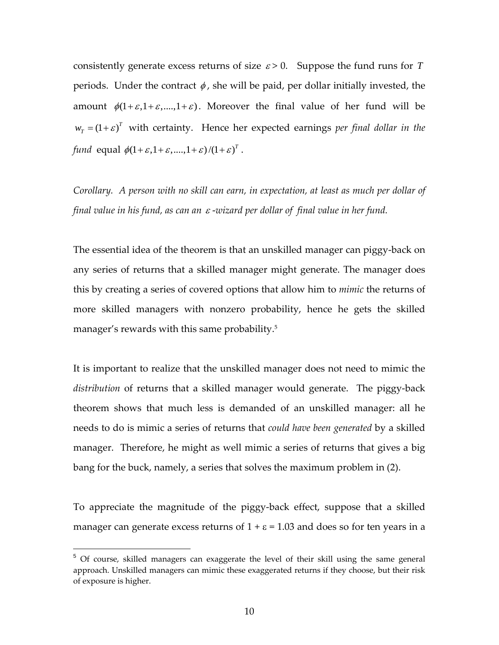consistently generate excess returns of size  $\varepsilon > 0$ . Suppose the fund runs for *T* periods. Under the contract  $\phi$ , she will be paid, per dollar initially invested, the amount  $\phi(1+\varepsilon,1+\varepsilon,...,1+\varepsilon)$ . Moreover the final value of her fund will be  $w_T = (1 + \varepsilon)^T$  with certainty. Hence her expected earnings *per final dollar in the fund* equal  $\phi(1 + \varepsilon, 1 + \varepsilon, \ldots, 1 + \varepsilon) / (1 + \varepsilon)^T$ .

*Corollary. A person with no skill can earn, in expectation, at least as much per dollar of final value in his fund, as can an* <sup>ε</sup> ‐*wizard per dollar of final value in her fund.*

The essential idea of the theorem is that an unskilled manager can piggy‐back on any series of returns that a skilled manager might generate. The manager does this by creating a series of covered options that allow him to *mimic* the returns of more skilled managers with nonzero probability, hence he gets the skilled manager's rewards with this same probability.<sup>5</sup>

It is important to realize that the unskilled manager does not need to mimic the *distribution* of returns that a skilled manager would generate. The piggy‐back theorem shows that much less is demanded of an unskilled manager: all he needs to do is mimic a series of returns that *could have been generated* by a skilled manager. Therefore, he might as well mimic a series of returns that gives a big bang for the buck, namely, a series that solves the maximum problem in (2).

To appreciate the magnitude of the piggy‐back effect, suppose that a skilled manager can generate excess returns of  $1 + \varepsilon = 1.03$  and does so for ten years in a

1

<sup>&</sup>lt;sup>5</sup> Of course, skilled managers can exaggerate the level of their skill using the same general approach. Unskilled managers can mimic these exaggerated returns if they choose, but their risk of exposure is higher.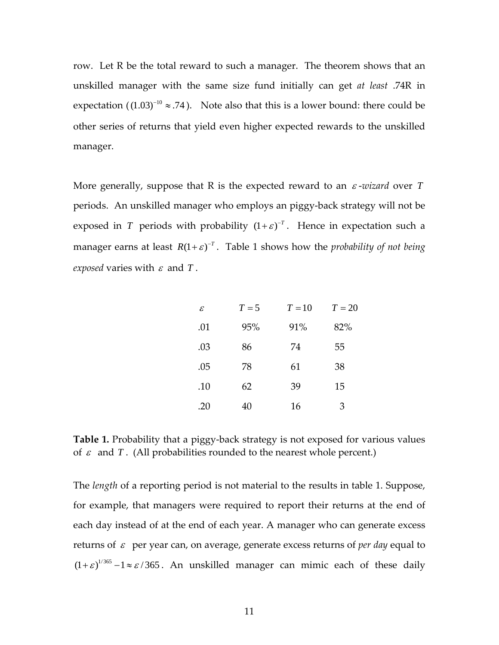row. Let R be the total reward to such a manager. The theorem shows that an unskilled manager with the same size fund initially can get *at least* .74R in expectation ( $(1.03)^{-10} \approx .74$ ). Note also that this is a lower bound: there could be other series of returns that yield even higher expected rewards to the unskilled manager.

More generally, suppose that R is the expected reward to an <sup>ε</sup> ‐*wizard* over *T* periods. An unskilled manager who employs an piggy‐back strategy will not be exposed in *T* periods with probability  $(1 + \varepsilon)^{-T}$ . Hence in expectation such a manager earns at least  $R(1 + \varepsilon)^{-T}$ . Table 1 shows how the *probability* of *not* being *exposed* varies with  $\varepsilon$  and  $T$ .

| $\mathcal E$ |     | $T = 5$ $T = 10$ $T = 20$ |     |
|--------------|-----|---------------------------|-----|
| .01          | 95% | 91%                       | 82% |
| .03          | 86  | 74                        | 55  |
| .05          | 78  | 61                        | 38  |
| .10          | 62  | 39                        | 15  |
| .20          | 40  | 16                        | 3   |

**Table 1.** Probability that a piggy-back strategy is not exposed for various values of  $\varepsilon$  and  $T$ . (All probabilities rounded to the nearest whole percent.)

The *length* of a reporting period is not material to the results in table 1. Suppose, for example, that managers were required to report their returns at the end of each day instead of at the end of each year. A manager who can generate excess returns of <sup>ε</sup> per year can, on average, generate excess returns of *per day* equal to  $(1+\varepsilon)^{1/365} - 1 \approx \varepsilon / 365$ . An unskilled manager can mimic each of these daily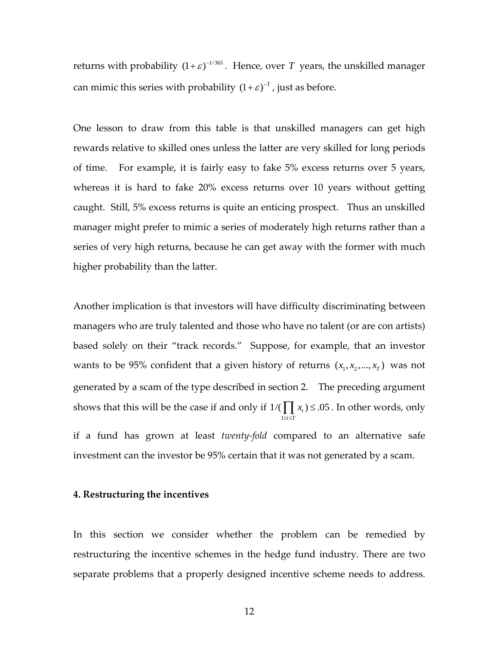returns with probability  $(1+\varepsilon)^{-1/365}$ . Hence, over *T* years, the unskilled manager can mimic this series with probability  $(1 + \varepsilon)^{-T}$ , just as before.

One lesson to draw from this table is that unskilled managers can get high rewards relative to skilled ones unless the latter are very skilled for long periods of time. For example, it is fairly easy to fake 5% excess returns over 5 years, whereas it is hard to fake 20% excess returns over 10 years without getting caught. Still, 5% excess returns is quite an enticing prospect. Thus an unskilled manager might prefer to mimic a series of moderately high returns rather than a series of very high returns, because he can get away with the former with much higher probability than the latter.

Another implication is that investors will have difficulty discriminating between managers who are truly talented and those who have no talent (or are con artists) based solely on their "track records." Suppose, for example, that an investor wants to be 95% confident that a given history of returns  $(x_1, x_2, ..., x_T)$  was not generated by a scam of the type described in section 2. The preceding argument shows that this will be the case if and only if 1  $1/(\prod x_t) \leq .05$  $t \leq T$ *x*  $\prod_{1 \leq i \leq T} x_i$ ) ≤ .05 . In other words, only if a fund has grown at least *twenty‐fold* compared to an alternative safe investment can the investor be 95% certain that it was not generated by a scam.

## **4. Restructuring the incentives**

In this section we consider whether the problem can be remedied by restructuring the incentive schemes in the hedge fund industry. There are two separate problems that a properly designed incentive scheme needs to address.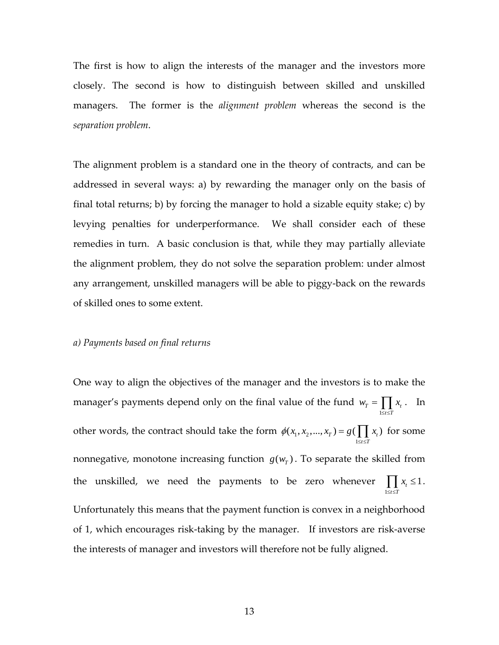The first is how to align the interests of the manager and the investors more closely. The second is how to distinguish between skilled and unskilled managers. The former is the *alignment problem* whereas the second is the *separation problem*.

The alignment problem is a standard one in the theory of contracts, and can be addressed in several ways: a) by rewarding the manager only on the basis of final total returns; b) by forcing the manager to hold a sizable equity stake; c) by levying penalties for underperformance. We shall consider each of these remedies in turn. A basic conclusion is that, while they may partially alleviate the alignment problem, they do not solve the separation problem: under almost any arrangement, unskilled managers will be able to piggy‐back on the rewards of skilled ones to some extent.

#### *a) Payments based on final returns*

One way to align the objectives of the manager and the investors is to make the manager's payments depend only on the final value of the fund 1  $T = \prod \lambda_t$  $t \leq T$  $w_{\tau} = \prod x$  $=\prod_{1\leq t\leq T}x_{t}$ . In other words, the contract should take the form  $\phi(x_1, x_2)$ 1  $(x_1, x_2, ..., x_T) = g(\prod x_t)$  $t \leq T$  $\phi(x_1, x_2, ..., x_r) = g(\prod x$  $= g(\prod_{1 \leq t \leq T} x_t)$  for some nonnegative, monotone increasing function  $g(w<sub>r</sub>)$ . To separate the skilled from the unskilled, we need the payments to be zero whenever 1  $\frac{1}{t} \leq 1$  $t \leq T$ *x*  $\prod_{1 \leq t \leq T} x_t \leq 1$ . Unfortunately this means that the payment function is convex in a neighborhood of 1, which encourages risk‐taking by the manager. If investors are risk‐averse the interests of manager and investors will therefore not be fully aligned.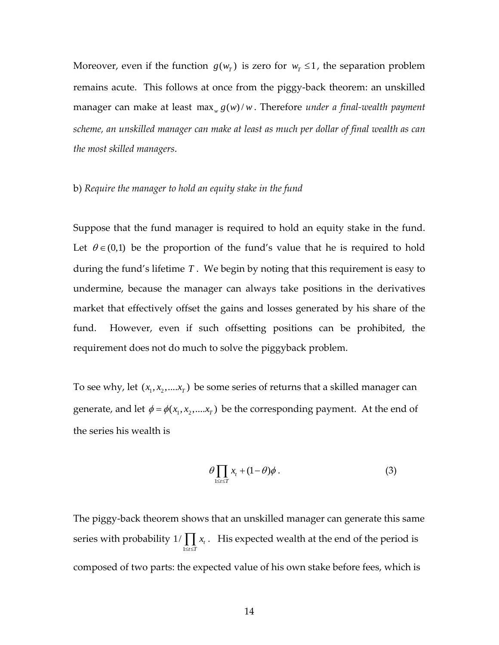Moreover, even if the function  $g(w<sub>T</sub>)$  is zero for  $w<sub>T</sub> \le 1$ , the separation problem remains acute. This follows at once from the piggy-back theorem: an unskilled manager can make at least max  $g(w) / w$ . Therefore *under a final-wealth payment scheme, an unskilled manager can make at least as much per dollar of final wealth as can the most skilled managers*.

#### b) *Require the manager to hold an equity stake in the fund*

Suppose that the fund manager is required to hold an equity stake in the fund. Let  $\theta \in (0,1)$  be the proportion of the fund's value that he is required to hold during the fund's lifetime *T* . We begin by noting that this requirement is easy to undermine, because the manager can always take positions in the derivatives market that effectively offset the gains and losses generated by his share of the fund. However, even if such offsetting positions can be prohibited, the requirement does not do much to solve the piggyback problem.

To see why, let  $(x_1, x_2, \ldots, x_T)$  be some series of returns that a skilled manager can generate, and let  $\phi = \phi(x_1, x_2, \dots, x_T)$  be the corresponding payment. At the end of the series his wealth is

$$
\theta \prod_{1 \leq t \leq T} x_t + (1 - \theta) \phi \,. \tag{3}
$$

The piggy‐back theorem shows that an unskilled manager can generate this same series with probability 1  $1/\prod x_t$  $t \leq T$ *x*  $\prod_{1 \leq i \leq T} x_i$ . His expected wealth at the end of the period is composed of two parts: the expected value of his own stake before fees, which is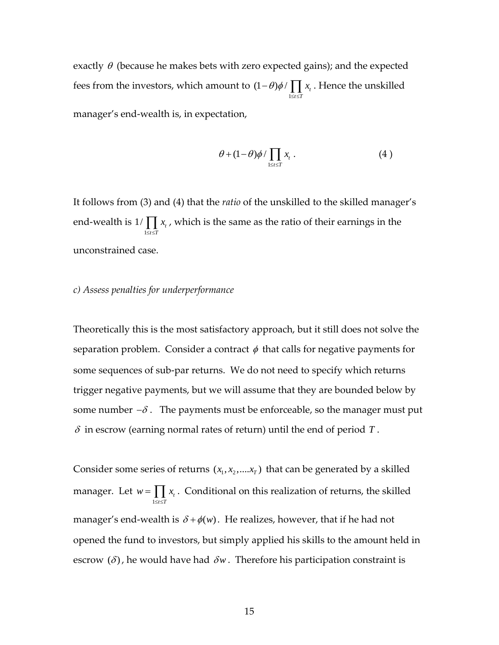exactly  $\theta$  (because he makes bets with zero expected gains); and the expected fees from the investors, which amount to 1  $(1 - \theta)\phi / \prod x_i$  $t \leq T$  $\theta$ ) $\phi$  /  $\vert x \vert$  x  $-\theta$ ) $\phi$  /  $\prod_{1 \leq t \leq T} x_t$ . Hence the unskilled manager's end‐wealth is, in expectation,

$$
\theta + (1 - \theta)\phi / \prod_{1 \leq t \leq T} x_t \,. \tag{4}
$$

It follows from (3) and (4) that the *ratio* of the unskilled to the skilled manager's end‐wealth is 1  $1/\prod x_i$  $t \leq T$ *x*  $\prod_{1 \leq i \leq T} x_i$  , which is the same as the ratio of their earnings in the unconstrained case.

## *c) Assess penalties for underperformance*

Theoretically this is the most satisfactory approach, but it still does not solve the separation problem. Consider a contract  $\phi$  that calls for negative payments for some sequences of sub-par returns. We do not need to specify which returns trigger negative payments, but we will assume that they are bounded below by some number  $-\delta$ . The payments must be enforceable, so the manager must put  $\delta$  in escrow (earning normal rates of return) until the end of period  $T$ .

Consider some series of returns  $(x_1, x_2, \ldots, x_T)$  that can be generated by a skilled manager. Let 1 *t*  $t \leq T$  $w = \prod x$  $=\prod_{1\leq i\leq T} x_i$ . Conditional on this realization of returns, the skilled manager's end-wealth is  $\delta + \phi(w)$ . He realizes, however, that if he had not opened the fund to investors, but simply applied his skills to the amount held in escrow  $(\delta)$ , he would have had  $\delta w$ . Therefore his participation constraint is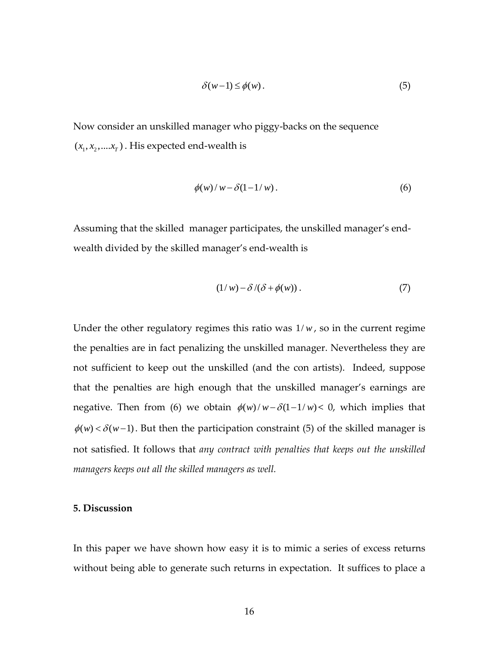$$
\delta(w-1) \le \phi(w). \tag{5}
$$

Now consider an unskilled manager who piggy‐backs on the sequence  $(x_1, x_2, \ldots, x_T)$ . His expected end-wealth is

$$
\phi(w)/w - \delta(1 - 1/w). \tag{6}
$$

Assuming that the skilled manager participates, the unskilled manager's end‐ wealth divided by the skilled manager's end-wealth is

$$
(1/w) - \delta/(\delta + \phi(w)). \tag{7}
$$

Under the other regulatory regimes this ratio was  $1/w$ , so in the current regime the penalties are in fact penalizing the unskilled manager. Nevertheless they are not sufficient to keep out the unskilled (and the con artists). Indeed, suppose that the penalties are high enough that the unskilled manager's earnings are negative. Then from (6) we obtain  $\phi(w)/w - \delta(1 - 1/w) < 0$ , which implies that  $\phi(w) < \delta(w-1)$ . But then the participation constraint (5) of the skilled manager is not satisfied. It follows that *any contract with penalties that keeps out the unskilled managers keeps out all the skilled managers as well.*

# **5. Discussion**

In this paper we have shown how easy it is to mimic a series of excess returns without being able to generate such returns in expectation. It suffices to place a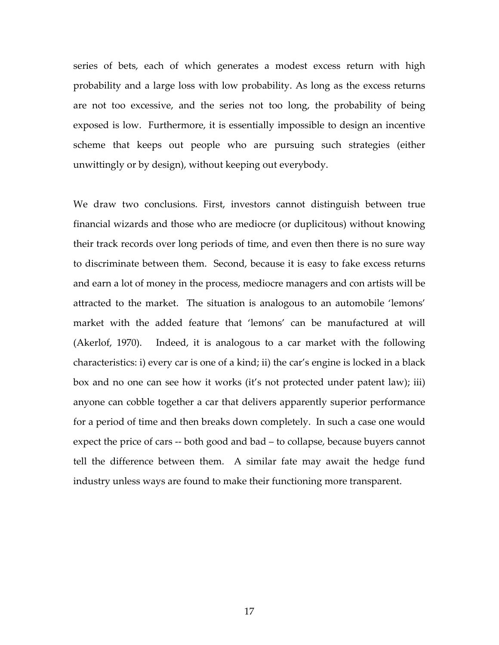series of bets, each of which generates a modest excess return with high probability and a large loss with low probability. As long as the excess returns are not too excessive, and the series not too long, the probability of being exposed is low. Furthermore, it is essentially impossible to design an incentive scheme that keeps out people who are pursuing such strategies (either unwittingly or by design), without keeping out everybody.

We draw two conclusions. First, investors cannot distinguish between true financial wizards and those who are mediocre (or duplicitous) without knowing their track records over long periods of time, and even then there is no sure way to discriminate between them. Second, because it is easy to fake excess returns and earn a lot of money in the process, mediocre managers and con artists will be attracted to the market. The situation is analogous to an automobile 'lemons' market with the added feature that 'lemons' can be manufactured at will (Akerlof, 1970). Indeed, it is analogous to a car market with the following characteristics: i) every car is one of a kind; ii) the car's engine is locked in a black box and no one can see how it works (it's not protected under patent law); iii) anyone can cobble together a car that delivers apparently superior performance for a period of time and then breaks down completely. In such a case one would expect the price of cars ‐‐ both good and bad – to collapse, because buyers cannot tell the difference between them. A similar fate may await the hedge fund industry unless ways are found to make their functioning more transparent.